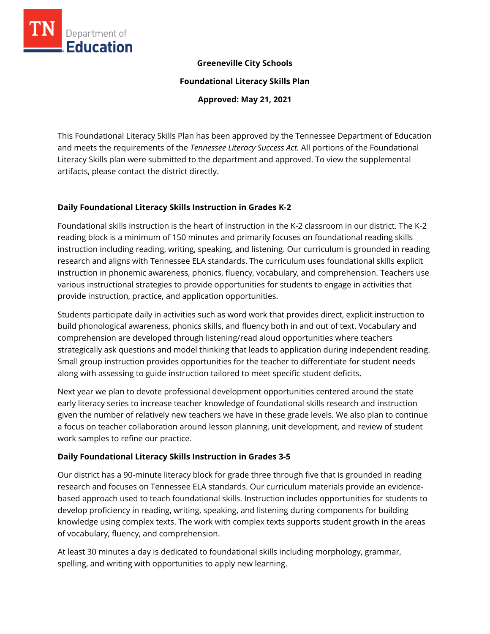

## **Greeneville City Schools**

**Foundational Literacy Skills Plan**

**Approved: May 21, 2021**

This Foundational Literacy Skills Plan has been approved by the Tennessee Department of Education and meets the requirements of the *Tennessee Literacy Success Act.* All portions of the Foundational Literacy Skills plan were submitted to the department and approved. To view the supplemental artifacts, please contact the district directly.

#### **Daily Foundational Literacy Skills Instruction in Grades K-2**

Foundational skills instruction is the heart of instruction in the K-2 classroom in our district. The K-2 reading block is a minimum of 150 minutes and primarily focuses on foundational reading skills instruction including reading, writing, speaking, and listening. Our curriculum is grounded in reading research and aligns with Tennessee ELA standards. The curriculum uses foundational skills explicit instruction in phonemic awareness, phonics, fluency, vocabulary, and comprehension. Teachers use various instructional strategies to provide opportunities for students to engage in activities that provide instruction, practice, and application opportunities.

Students participate daily in activities such as word work that provides direct, explicit instruction to build phonological awareness, phonics skills, and fluency both in and out of text. Vocabulary and comprehension are developed through listening/read aloud opportunities where teachers strategically ask questions and model thinking that leads to application during independent reading. Small group instruction provides opportunities for the teacher to differentiate for student needs along with assessing to guide instruction tailored to meet specific student deficits.

Next year we plan to devote professional development opportunities centered around the state early literacy series to increase teacher knowledge of foundational skills research and instruction given the number of relatively new teachers we have in these grade levels. We also plan to continue a focus on teacher collaboration around lesson planning, unit development, and review of student work samples to refine our practice.

#### **Daily Foundational Literacy Skills Instruction in Grades 3-5**

Our district has a 90-minute literacy block for grade three through five that is grounded in reading research and focuses on Tennessee ELA standards. Our curriculum materials provide an evidencebased approach used to teach foundational skills. Instruction includes opportunities for students to develop proficiency in reading, writing, speaking, and listening during components for building knowledge using complex texts. The work with complex texts supports student growth in the areas of vocabulary, fluency, and comprehension.

At least 30 minutes a day is dedicated to foundational skills including morphology, grammar, spelling, and writing with opportunities to apply new learning.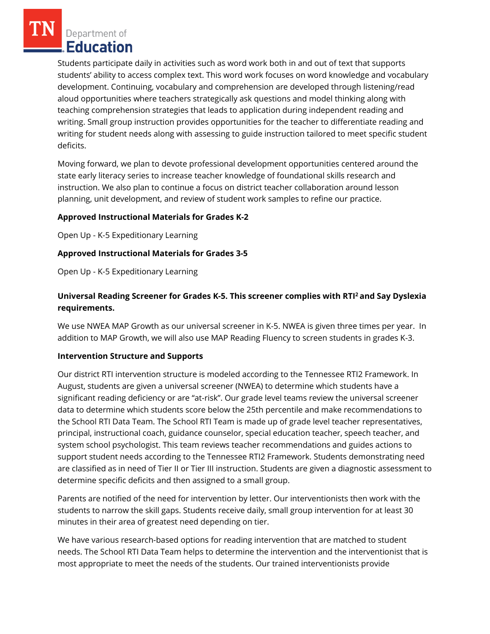Department of Education

Students participate daily in activities such as word work both in and out of text that supports students' ability to access complex text. This word work focuses on word knowledge and vocabulary development. Continuing, vocabulary and comprehension are developed through listening/read aloud opportunities where teachers strategically ask questions and model thinking along with teaching comprehension strategies that leads to application during independent reading and writing. Small group instruction provides opportunities for the teacher to differentiate reading and writing for student needs along with assessing to guide instruction tailored to meet specific student deficits.

Moving forward, we plan to devote professional development opportunities centered around the state early literacy series to increase teacher knowledge of foundational skills research and instruction. We also plan to continue a focus on district teacher collaboration around lesson planning, unit development, and review of student work samples to refine our practice.

## **Approved Instructional Materials for Grades K-2**

Open Up - K-5 Expeditionary Learning

## **Approved Instructional Materials for Grades 3-5**

Open Up - K-5 Expeditionary Learning

# **Universal Reading Screener for Grades K-5. This screener complies with RTI<sup>2</sup>and Say Dyslexia requirements.**

We use NWEA MAP Growth as our universal screener in K-5. NWEA is given three times per year. In addition to MAP Growth, we will also use MAP Reading Fluency to screen students in grades K-3.

#### **Intervention Structure and Supports**

Our district RTI intervention structure is modeled according to the Tennessee RTI2 Framework. In August, students are given a universal screener (NWEA) to determine which students have a significant reading deficiency or are "at-risk". Our grade level teams review the universal screener data to determine which students score below the 25th percentile and make recommendations to the School RTI Data Team. The School RTI Team is made up of grade level teacher representatives, principal, instructional coach, guidance counselor, special education teacher, speech teacher, and system school psychologist. This team reviews teacher recommendations and guides actions to support student needs according to the Tennessee RTI2 Framework. Students demonstrating need are classified as in need of Tier II or Tier III instruction. Students are given a diagnostic assessment to determine specific deficits and then assigned to a small group.

Parents are notified of the need for intervention by letter. Our interventionists then work with the students to narrow the skill gaps. Students receive daily, small group intervention for at least 30 minutes in their area of greatest need depending on tier.

We have various research-based options for reading intervention that are matched to student needs. The School RTI Data Team helps to determine the intervention and the interventionist that is most appropriate to meet the needs of the students. Our trained interventionists provide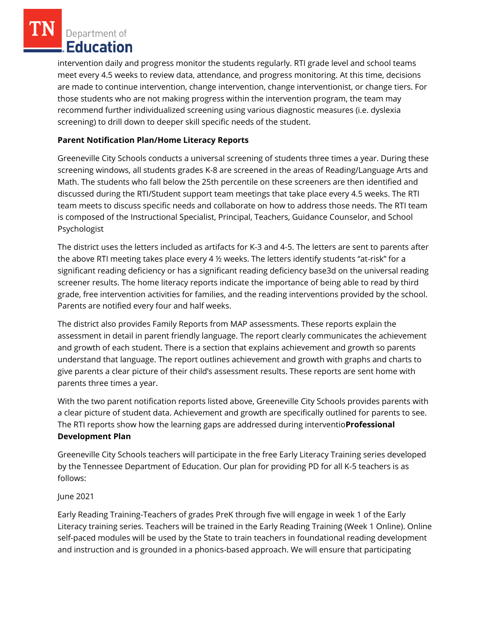Department of Education

intervention daily and progress monitor the students regularly. RTI grade level and school teams meet every 4.5 weeks to review data, attendance, and progress monitoring. At this time, decisions are made to continue intervention, change intervention, change interventionist, or change tiers. For those students who are not making progress within the intervention program, the team may recommend further individualized screening using various diagnostic measures (i.e. dyslexia screening) to drill down to deeper skill specific needs of the student.

# **Parent Notification Plan/Home Literacy Reports**

Greeneville City Schools conducts a universal screening of students three times a year. During these screening windows, all students grades K-8 are screened in the areas of Reading/Language Arts and Math. The students who fall below the 25th percentile on these screeners are then identified and discussed during the RTI/Student support team meetings that take place every 4.5 weeks. The RTI team meets to discuss specific needs and collaborate on how to address those needs. The RTI team is composed of the Instructional Specialist, Principal, Teachers, Guidance Counselor, and School Psychologist

The district uses the letters included as artifacts for K-3 and 4-5. The letters are sent to parents after the above RTI meeting takes place every 4 ½ weeks. The letters identify students "at-risk" for a significant reading deficiency or has a significant reading deficiency base3d on the universal reading screener results. The home literacy reports indicate the importance of being able to read by third grade, free intervention activities for families, and the reading interventions provided by the school. Parents are notified every four and half weeks.

The district also provides Family Reports from MAP assessments. These reports explain the assessment in detail in parent friendly language. The report clearly communicates the achievement and growth of each student. There is a section that explains achievement and growth so parents understand that language. The report outlines achievement and growth with graphs and charts to give parents a clear picture of their child's assessment results. These reports are sent home with parents three times a year.

With the two parent notification reports listed above, Greeneville City Schools provides parents with a clear picture of student data. Achievement and growth are specifically outlined for parents to see. The RTI reports show how the learning gaps are addressed during interventio**Professional Development Plan** 

Greeneville City Schools teachers will participate in the free Early Literacy Training series developed by the Tennessee Department of Education. Our plan for providing PD for all K-5 teachers is as follows:

# June 2021

Early Reading Training-Teachers of grades PreK through five will engage in week 1 of the Early Literacy training series. Teachers will be trained in the Early Reading Training (Week 1 Online). Online self-paced modules will be used by the State to train teachers in foundational reading development and instruction and is grounded in a phonics-based approach. We will ensure that participating